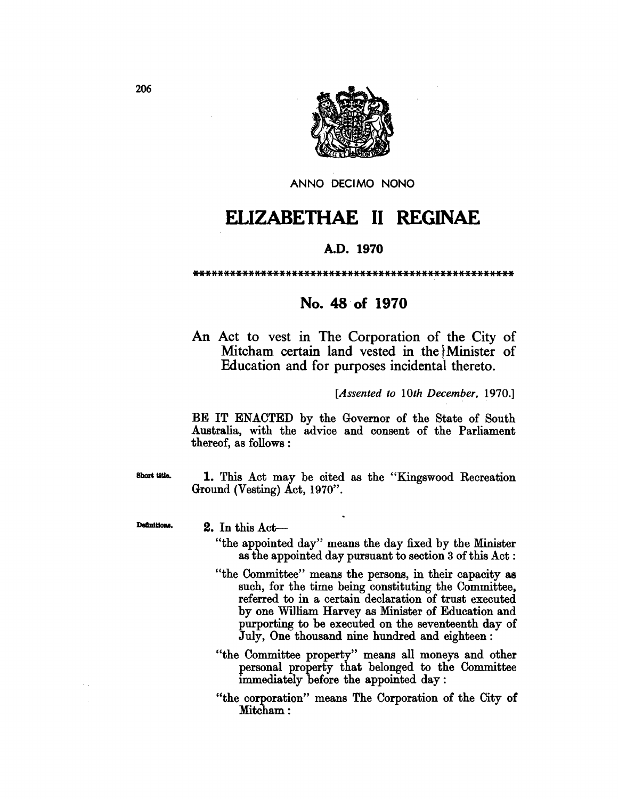

ANNO DECIMO NONO

## ELIZABETHAE 11 REGINAE

## A.D. 1970

\*\*\*\*\*\*\*\*\*\*\*\*\*\*\*\*\*\*\*\*\*\*\*\*\*\*\*\*\*\*\*\*\*\*\*\*\*\*\*\*\*\*\*\*\*\*\*\*\*\*\*\*

## No. 48 of 1970

An Act to vest in The Corporation of the City of Mitcham certain land vested in the Minister of Education and for purposes incidental thereto.

*[Assented to 10th December. 1970.]* 

BE IT ENACTED by the Governor of the State of South Australia, with the advice and consent of the Parliament thereof, as follows :

Short title. 1. This Act may be cited as the "Kingswood Recreation Ground (Vesting) Act, 1970".

Definitions. 2. In this Act-

- "the appointed day" means the day fixed by the Minister as the appointed day pursuant to section 3 of this Act:
- "the Committee" means the persons, in their capacity as such, for the time being constituting the Committee, referred to in a certain declaration of trust executed by one Wi1liam Harvey as Minister of Education and purporting to be executed on the seventeenth day of July, One thousand nine hundred and eighteen:
- "the Committee property" means all moneys and other personal property that belonged to the Committee immediately before the appointed day:
- "the corporation" means The Corporation of the City of Mitcham: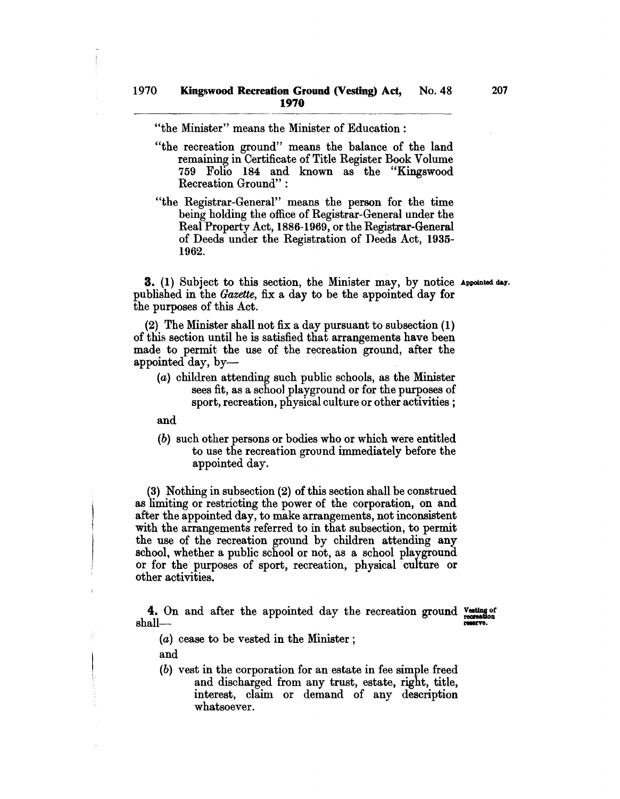"the Minister" means the Minister of Education:

- "the recreation ground" means the balance of the land remaining in Certificate of Title Register Book Volume 759 Folio 184 and known as the "Kingswood Recreation Ground" :
- "the Registrar-General" means the person for the time being holding the office of Registrar-General under the Real Property Act, 1886-1969, or the Registrar-General of Deeds under the Registration of Deeds Act, 1935- 1962.

**3.** (1) Subject to this section, the Minister may, by notice Appointed day. published in the *Gazette,* fix a day to be the appointed day for the purposes of this Act.

(2) The Minister shall not fix a day pursuant to subsection (1) of this section until he is satisfied that arrangements have been made to permit the use of the recreation ground, after the appointed day, by-

(a) children attending such public schools, as the Minister sees fit, as a school playground or for the purposes of sport, recreation, physical culture or other activities;

and

(b) such other persons or bodies who or which were entitled to use the recreation ground immediately before the appointed day.

(3) Nothing in subsection (2) of this section shall be construed as limiting or restricting the power of the corporation, on and after the appointed day, to make arrangements, not inconsistent with the arrangements referred to in that subsection, to permit the use of the recreation ground by children attending any school, whether a public school or not, as a school playground or for the purposes of sport, recreation, physical culture or other activities.

4. On and after the appointed day the recreation ground resting of restaurant shall-

(a) cease to be vested in the Minister;

and

(b) vest in the corporation for an estate in fee simple freed and discharged from any trust, estate, right, title, interest, claim or demand of any description whatsoever.